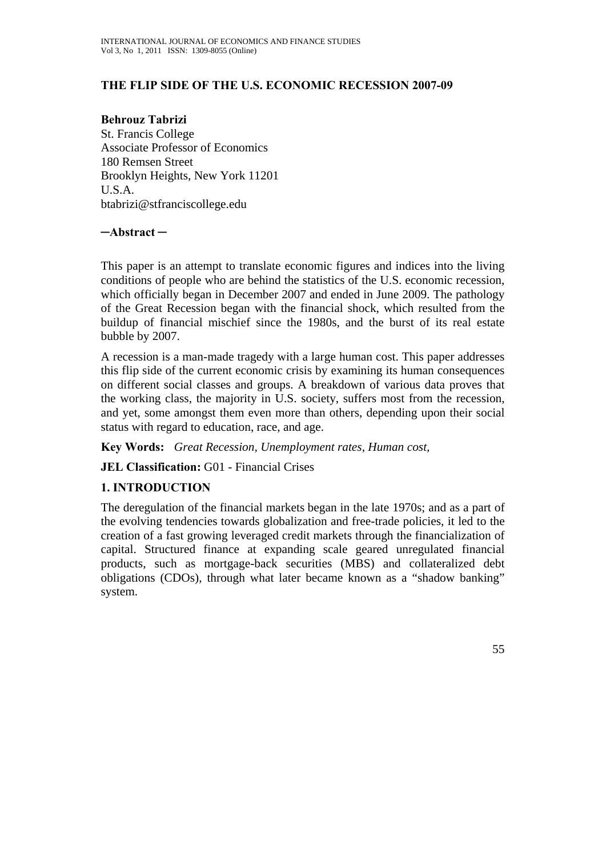### **THE FLIP SIDE OF THE U.S. ECONOMIC RECESSION 2007-09**

**Behrouz Tabrizi**  St. Francis College Associate Professor of Economics 180 Remsen Street Brooklyn Heights, New York 11201 U.S.A. btabrizi@stfranciscollege.edu

**─Abstract ─**

This paper is an attempt to translate economic figures and indices into the living conditions of people who are behind the statistics of the U.S. economic recession, which officially began in December 2007 and ended in June 2009. The pathology of the Great Recession began with the financial shock, which resulted from the buildup of financial mischief since the 1980s, and the burst of its real estate bubble by 2007.

A recession is a man-made tragedy with a large human cost. This paper addresses this flip side of the current economic crisis by examining its human consequences on different social classes and groups. A breakdown of various data proves that the working class, the majority in U.S. society, suffers most from the recession, and yet, some amongst them even more than others, depending upon their social status with regard to education, race, and age.

**Key Words:** *Great Recession, Unemployment rates, Human cost,* 

**JEL Classification:** G01 - Financial Crises

### **1. INTRODUCTION**

The deregulation of the financial markets began in the late 1970s; and as a part of the evolving tendencies towards globalization and free-trade policies, it led to the creation of a fast growing leveraged credit markets through the financialization of capital. Structured finance at expanding scale geared unregulated financial products, such as mortgage-back securities (MBS) and collateralized debt obligations (CDOs), through what later became known as a "shadow banking" system.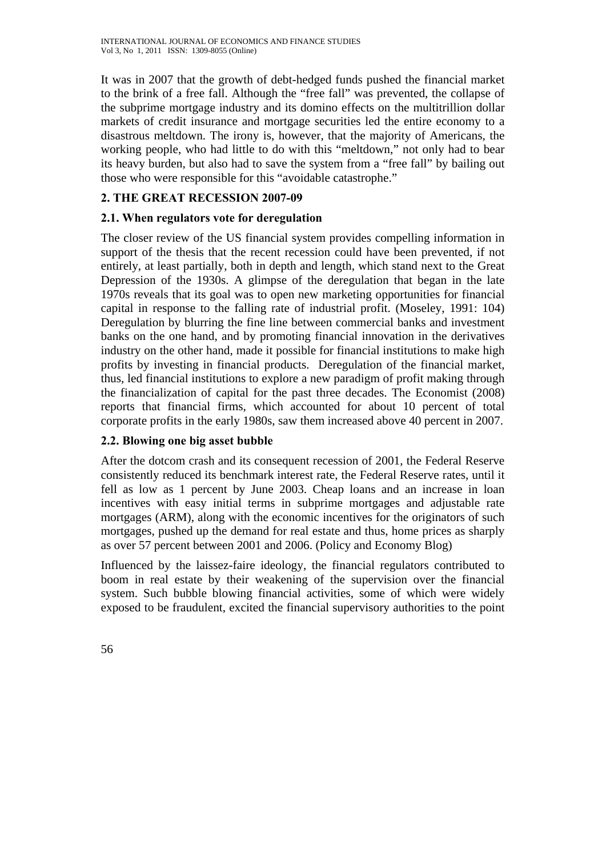It was in 2007 that the growth of debt-hedged funds pushed the financial market to the brink of a free fall. Although the "free fall" was prevented, the collapse of the subprime mortgage industry and its domino effects on the multitrillion dollar markets of credit insurance and mortgage securities led the entire economy to a disastrous meltdown. The irony is, however, that the majority of Americans, the working people, who had little to do with this "meltdown," not only had to bear its heavy burden, but also had to save the system from a "free fall" by bailing out those who were responsible for this "avoidable catastrophe."

# **2. THE GREAT RECESSION 2007-09**

# **2.1. When regulators vote for deregulation**

The closer review of the US financial system provides compelling information in support of the thesis that the recent recession could have been prevented, if not entirely, at least partially, both in depth and length, which stand next to the Great Depression of the 1930s. A glimpse of the deregulation that began in the late 1970s reveals that its goal was to open new marketing opportunities for financial capital in response to the falling rate of industrial profit. (Moseley, 1991: 104) Deregulation by blurring the fine line between commercial banks and investment banks on the one hand, and by promoting financial innovation in the derivatives industry on the other hand, made it possible for financial institutions to make high profits by investing in financial products. Deregulation of the financial market, thus, led financial institutions to explore a new paradigm of profit making through the financialization of capital for the past three decades. The Economist (2008) reports that financial firms, which accounted for about 10 percent of total corporate profits in the early 1980s, saw them increased above 40 percent in 2007.

# **2.2. Blowing one big asset bubble**

After the dotcom crash and its consequent recession of 2001, the Federal Reserve consistently reduced its benchmark interest rate, the Federal Reserve rates, until it fell as low as 1 percent by June 2003. Cheap loans and an increase in loan incentives with easy initial terms in subprime mortgages and adjustable rate mortgages (ARM), along with the economic incentives for the originators of such mortgages, pushed up the demand for real estate and thus, home prices as sharply as over 57 percent between 2001 and 2006. (Policy and Economy Blog)

Influenced by the laissez-faire ideology, the financial regulators contributed to boom in real estate by their weakening of the supervision over the financial system. Such bubble blowing financial activities, some of which were widely exposed to be fraudulent, excited the financial supervisory authorities to the point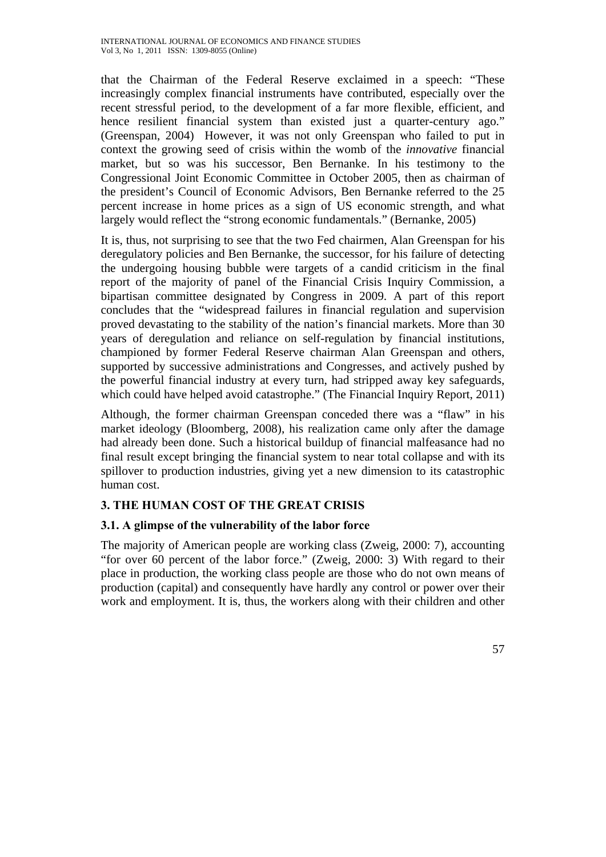that the Chairman of the Federal Reserve exclaimed in a speech: "These increasingly complex financial instruments have contributed, especially over the recent stressful period, to the development of a far more flexible, efficient, and hence resilient financial system than existed just a quarter-century ago." (Greenspan, 2004) However, it was not only Greenspan who failed to put in context the growing seed of crisis within the womb of the *innovative* financial market, but so was his successor, Ben Bernanke. In his testimony to the Congressional Joint Economic Committee in October 2005, then as chairman of the president's Council of Economic Advisors, Ben Bernanke referred to the 25 percent increase in home prices as a sign of US economic strength, and what largely would reflect the "strong economic fundamentals." (Bernanke, 2005)

It is, thus, not surprising to see that the two Fed chairmen, Alan Greenspan for his deregulatory policies and Ben Bernanke, the successor, for his failure of detecting the undergoing housing bubble were targets of a candid criticism in the final report of the majority of panel of the Financial Crisis Inquiry Commission, a bipartisan committee designated by Congress in 2009. A part of this report concludes that the "widespread failures in financial regulation and supervision proved devastating to the stability of the nation's financial markets. More than 30 years of deregulation and reliance on self-regulation by financial institutions, championed by former Federal Reserve chairman Alan Greenspan and others, supported by successive administrations and Congresses, and actively pushed by the powerful financial industry at every turn, had stripped away key safeguards, which could have helped avoid catastrophe." (The Financial Inquiry Report, 2011)

Although, the former chairman Greenspan conceded there was a "flaw" in his market ideology (Bloomberg, 2008), his realization came only after the damage had already been done. Such a historical buildup of financial malfeasance had no final result except bringing the financial system to near total collapse and with its spillover to production industries, giving yet a new dimension to its catastrophic human cost.

### **3. THE HUMAN COST OF THE GREAT CRISIS**

### **3.1. A glimpse of the vulnerability of the labor force**

The majority of American people are working class (Zweig, 2000: 7), accounting "for over 60 percent of the labor force." (Zweig, 2000: 3) With regard to their place in production, the working class people are those who do not own means of production (capital) and consequently have hardly any control or power over their work and employment. It is, thus, the workers along with their children and other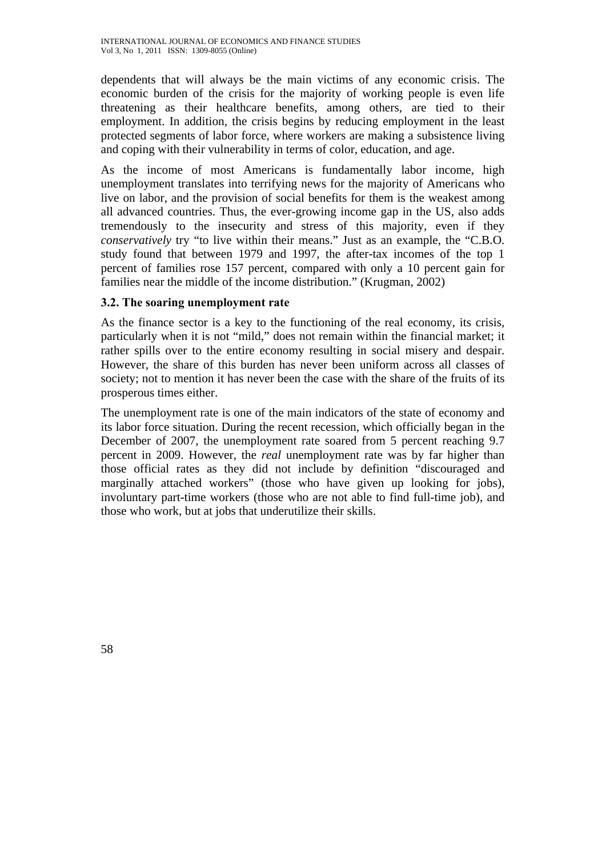dependents that will always be the main victims of any economic crisis. The economic burden of the crisis for the majority of working people is even life threatening as their healthcare benefits, among others, are tied to their employment. In addition, the crisis begins by reducing employment in the least protected segments of labor force, where workers are making a subsistence living and coping with their vulnerability in terms of color, education, and age.

As the income of most Americans is fundamentally labor income, high unemployment translates into terrifying news for the majority of Americans who live on labor, and the provision of social benefits for them is the weakest among all advanced countries. Thus, the ever-growing income gap in the US, also adds tremendously to the insecurity and stress of this majority, even if they *conservatively* try "to live within their means." Just as an example, the "C.B.O. study found that between 1979 and 1997, the after-tax incomes of the top 1 percent of families rose 157 percent, compared with only a 10 percent gain for families near the middle of the income distribution." (Krugman, 2002)

### **3.2. The soaring unemployment rate**

As the finance sector is a key to the functioning of the real economy, its crisis, particularly when it is not "mild," does not remain within the financial market; it rather spills over to the entire economy resulting in social misery and despair. However, the share of this burden has never been uniform across all classes of society; not to mention it has never been the case with the share of the fruits of its prosperous times either.

The unemployment rate is one of the main indicators of the state of economy and its labor force situation. During the recent recession, which officially began in the December of 2007, the unemployment rate soared from 5 percent reaching 9.7 percent in 2009. However, the *real* unemployment rate was by far higher than those official rates as they did not include by definition "discouraged and marginally attached workers" (those who have given up looking for jobs), involuntary part-time workers (those who are not able to find full-time job), and those who work, but at jobs that underutilize their skills.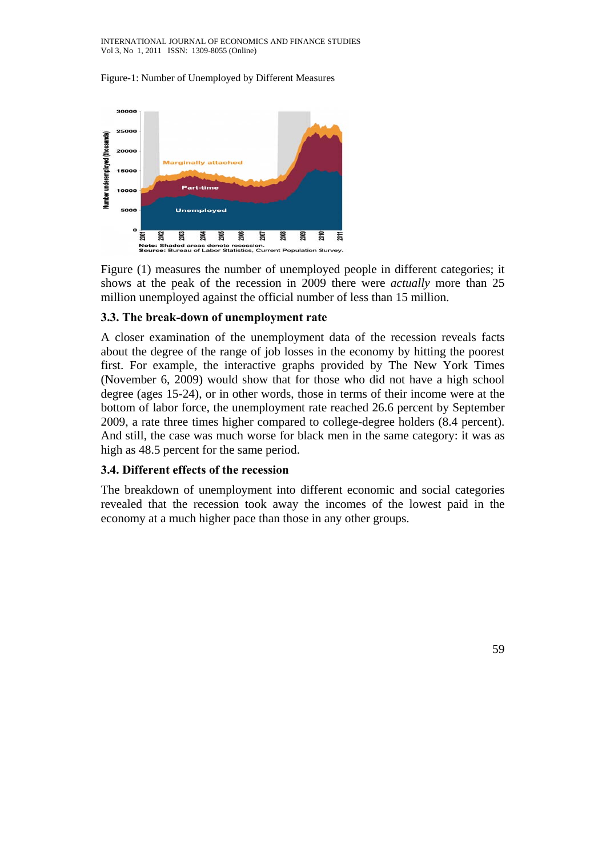Figure-1: Number of Unemployed by Different Measures



Figure (1) measures the number of unemployed people in different categories; it shows at the peak of the recession in 2009 there were *actually* more than 25 million unemployed against the official number of less than 15 million.

### **3.3. The break-down of unemployment rate**

A closer examination of the unemployment data of the recession reveals facts about the degree of the range of job losses in the economy by hitting the poorest first. For example, the interactive graphs provided by The New York Times (November 6, 2009) would show that for those who did not have a high school degree (ages 15-24), or in other words, those in terms of their income were at the bottom of labor force, the unemployment rate reached 26.6 percent by September 2009, a rate three times higher compared to college-degree holders (8.4 percent). And still, the case was much worse for black men in the same category: it was as high as 48.5 percent for the same period.

### **3.4. Different effects of the recession**

The breakdown of unemployment into different economic and social categories revealed that the recession took away the incomes of the lowest paid in the economy at a much higher pace than those in any other groups.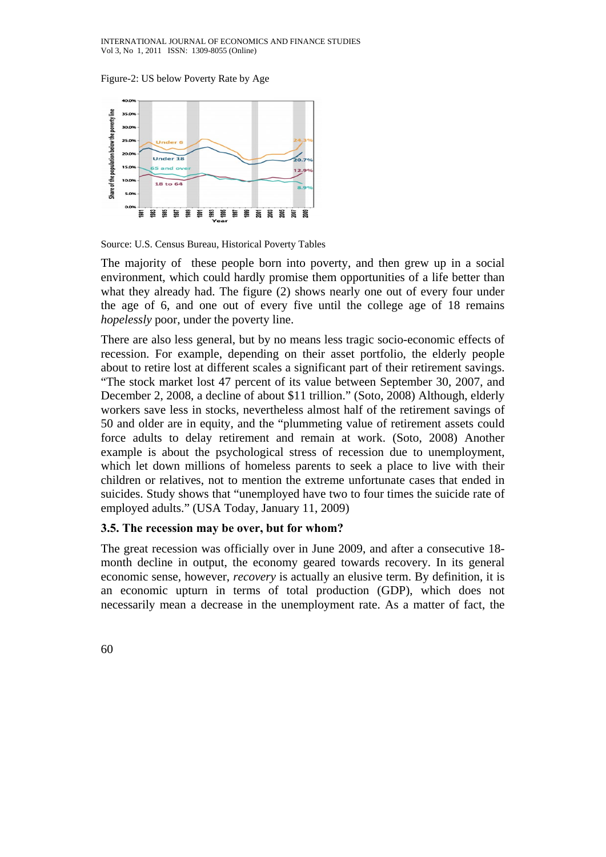Figure-2: US below Poverty Rate by Age



Source: U.S. Census Bureau, Historical Poverty Tables

The majority of these people born into poverty, and then grew up in a social environment, which could hardly promise them opportunities of a life better than what they already had. The figure (2) shows nearly one out of every four under the age of 6, and one out of every five until the college age of 18 remains *hopelessly* poor, under the poverty line.

There are also less general, but by no means less tragic socio-economic effects of recession. For example, depending on their asset portfolio, the elderly people about to retire lost at different scales a significant part of their retirement savings. "The stock market lost 47 percent of its value between September 30, 2007, and December 2, 2008, a decline of about \$11 trillion." (Soto, 2008) Although, elderly workers save less in stocks, nevertheless almost half of the retirement savings of 50 and older are in equity, and the "plummeting value of retirement assets could force adults to delay retirement and remain at work. (Soto, 2008) Another example is about the psychological stress of recession due to unemployment, which let down millions of homeless parents to seek a place to live with their children or relatives, not to mention the extreme unfortunate cases that ended in suicides. Study shows that "unemployed have two to four times the suicide rate of employed adults." (USA Today, January 11, 2009)

### **3.5. The recession may be over, but for whom?**

The great recession was officially over in June 2009, and after a consecutive 18 month decline in output, the economy geared towards recovery. In its general economic sense, however, *recovery* is actually an elusive term. By definition, it is an economic upturn in terms of total production (GDP), which does not necessarily mean a decrease in the unemployment rate. As a matter of fact, the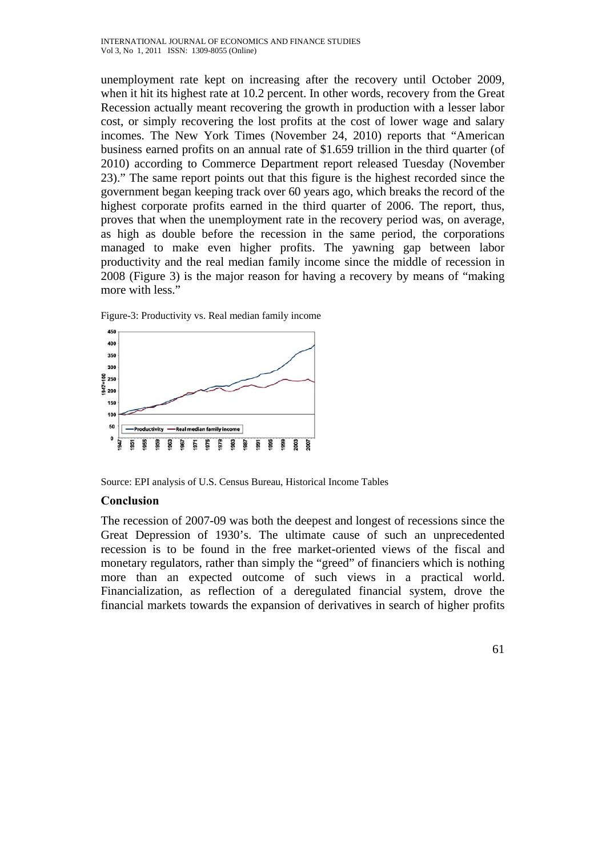unemployment rate kept on increasing after the recovery until October 2009, when it hit its highest rate at 10.2 percent. In other words, recovery from the Great Recession actually meant recovering the growth in production with a lesser labor cost, or simply recovering the lost profits at the cost of lower wage and salary incomes. The New York Times (November 24, 2010) reports that "American business earned profits on an annual rate of \$1.659 trillion in the third quarter (of 2010) according to Commerce Department report released Tuesday (November 23)." The same report points out that this figure is the highest recorded since the government began keeping track over 60 years ago, which breaks the record of the highest corporate profits earned in the third quarter of 2006. The report, thus, proves that when the unemployment rate in the recovery period was, on average, as high as double before the recession in the same period, the corporations managed to make even higher profits. The yawning gap between labor productivity and the real median family income since the middle of recession in 2008 (Figure 3) is the major reason for having a recovery by means of "making more with less."



Figure-3: Productivity vs. Real median family income

Source: EPI analysis of U.S. Census Bureau, Historical Income Tables

#### **Conclusion**

The recession of 2007-09 was both the deepest and longest of recessions since the Great Depression of 1930's. The ultimate cause of such an unprecedented recession is to be found in the free market-oriented views of the fiscal and monetary regulators, rather than simply the "greed" of financiers which is nothing more than an expected outcome of such views in a practical world. Financialization, as reflection of a deregulated financial system, drove the financial markets towards the expansion of derivatives in search of higher profits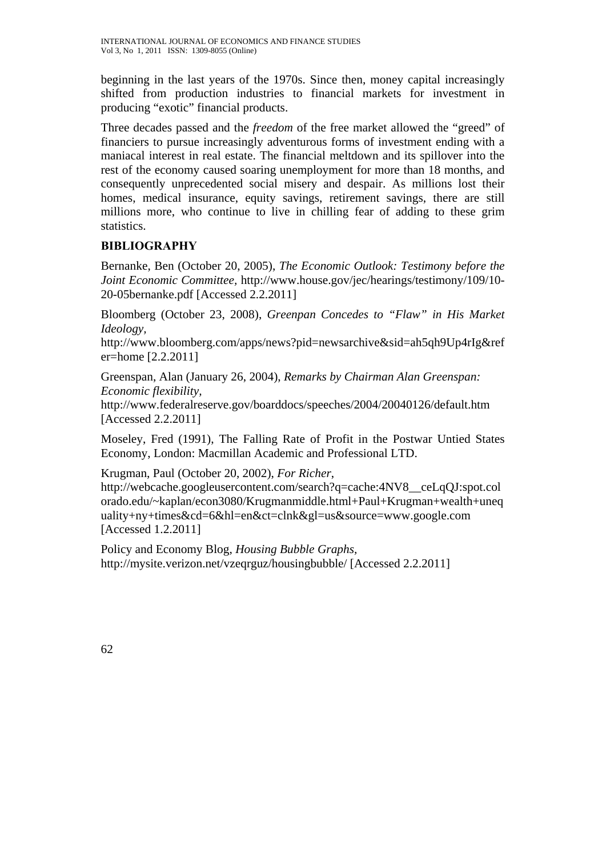beginning in the last years of the 1970s. Since then, money capital increasingly shifted from production industries to financial markets for investment in producing "exotic" financial products.

Three decades passed and the *freedom* of the free market allowed the "greed" of financiers to pursue increasingly adventurous forms of investment ending with a maniacal interest in real estate. The financial meltdown and its spillover into the rest of the economy caused soaring unemployment for more than 18 months, and consequently unprecedented social misery and despair. As millions lost their homes, medical insurance, equity savings, retirement savings, there are still millions more, who continue to live in chilling fear of adding to these grim statistics.

# **BIBLIOGRAPHY**

Bernanke, Ben (October 20, 2005), *The Economic Outlook: Testimony before the Joint Economic Committee,* http://www.house.gov/jec/hearings/testimony/109/10- 20-05bernanke.pdf [Accessed 2.2.2011]

Bloomberg (October 23, 2008), *Greenpan Concedes to "Flaw" in His Market Ideology,* 

http://www.bloomberg.com/apps/news?pid=newsarchive&sid=ah5qh9Up4rIg&ref er=home [2.2.2011]

Greenspan, Alan (January 26, 2004), *Remarks by Chairman Alan Greenspan: Economic flexibility,*

http://www.federalreserve.gov/boarddocs/speeches/2004/20040126/default.htm [Accessed 2.2.2011]

Moseley, Fred (1991), The Falling Rate of Profit in the Postwar Untied States Economy, London: Macmillan Academic and Professional LTD.

Krugman, Paul (October 20, 2002), *For Richer*, http://webcache.googleusercontent.com/search?q=cache:4NV8\_\_ceLqQJ:spot.col orado.edu/~kaplan/econ3080/Krugmanmiddle.html+Paul+Krugman+wealth+uneq uality+ny+times&cd=6&hl=en&ct=clnk&gl=us&source=www.google.com [Accessed 1.2.2011]

Policy and Economy Blog, *Housing Bubble Graphs,* http://mysite.verizon.net/vzeqrguz/housingbubble/ [Accessed 2.2.2011]